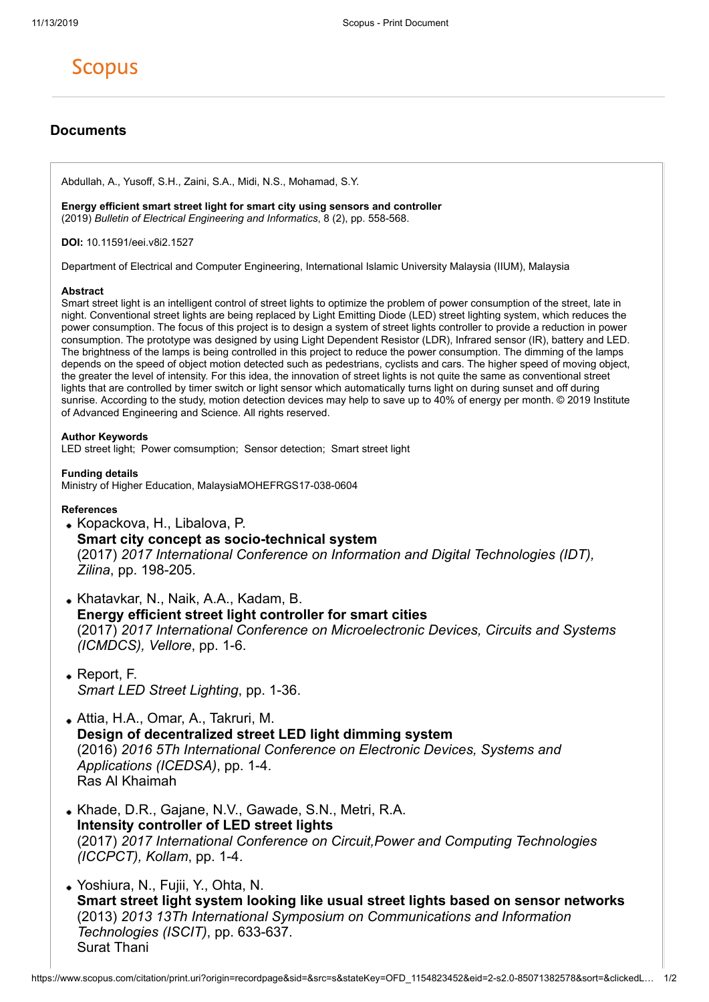# **Scopus**

# **Documents**

Abdullah, A., Yusoff, S.H., Zaini, S.A., Midi, N.S., Mohamad, S.Y.

**Energy efficient smart street light for smart city using sensors and controller** (2019) *Bulletin of Electrical Engineering and Informatics*, 8 (2), pp. 558-568.

**DOI:** 10.11591/eei.v8i2.1527

Department of Electrical and Computer Engineering, International Islamic University Malaysia (IIUM), Malaysia

#### **Abstract**

Smart street light is an intelligent control of street lights to optimize the problem of power consumption of the street, late in night. Conventional street lights are being replaced by Light Emitting Diode (LED) street lighting system, which reduces the power consumption. The focus of this project is to design a system of street lights controller to provide a reduction in power consumption. The prototype was designed by using Light Dependent Resistor (LDR), Infrared sensor (IR), battery and LED. The brightness of the lamps is being controlled in this project to reduce the power consumption. The dimming of the lamps depends on the speed of object motion detected such as pedestrians, cyclists and cars. The higher speed of moving object, the greater the level of intensity. For this idea, the innovation of street lights is not quite the same as conventional street lights that are controlled by timer switch or light sensor which automatically turns light on during sunset and off during sunrise. According to the study, motion detection devices may help to save up to 40% of energy per month. © 2019 Institute of Advanced Engineering and Science. All rights reserved.

## **Author Keywords**

LED street light; Power comsumption; Sensor detection; Smart street light

**Funding details**

Ministry of Higher Education, MalaysiaMOHEFRGS17-038-0604

### **References**

- Kopackova, H., Libalova, P. **Smart city concept as socio-technical system** (2017) *2017 International Conference on Information and Digital Technologies (IDT), Zilina*, pp. 198-205.
- Khatavkar, N., Naik, A.A., Kadam, B. **Energy efficient street light controller for smart cities** (2017) *2017 International Conference on Microelectronic Devices, Circuits and Systems (ICMDCS), Vellore*, pp. 1-6.
- Report, F. *Smart LED Street Lighting*, pp. 1-36.
- Attia, H.A., Omar, A., Takruri, M. **Design of decentralized street LED light dimming system** (2016) *2016 5Th International Conference on Electronic Devices, Systems and Applications (ICEDSA)*, pp. 1-4. Ras Al Khaimah
- Khade, D.R., Gajane, N.V., Gawade, S.N., Metri, R.A. **Intensity controller of LED street lights** (2017) *2017 International Conference on Circuit,Power and Computing Technologies (ICCPCT), Kollam*, pp. 1-4.
- Yoshiura, N., Fujii, Y., Ohta, N. **Smart street light system looking like usual street lights based on sensor networks** (2013) *2013 13Th International Symposium on Communications and Information Technologies (ISCIT)*, pp. 633-637. Surat Thani